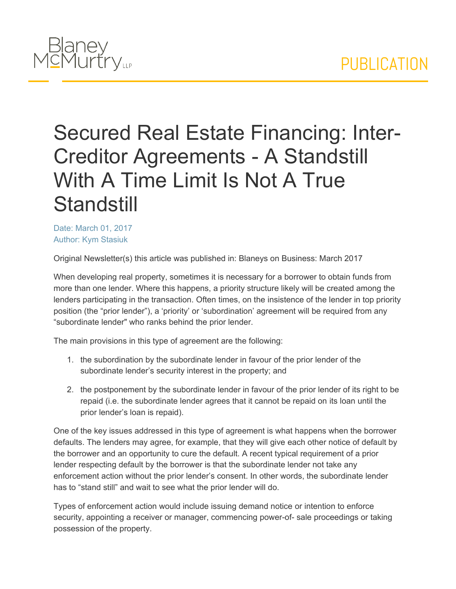

## Secured Real Estate Financing: Inter-Creditor Agreements - A Standstill With A Time Limit Is Not A True **Standstill**

Date: March 01, 2017 Author: Kym Stasiuk

Original Newsletter(s) this article was published in: Blaneys on Business: March 2017

When developing real property, sometimes it is necessary for a borrower to obtain funds from more than one lender. Where this happens, a priority structure likely will be created among the lenders participating in the transaction. Often times, on the insistence of the lender in top priority position (the "prior lender"), a 'priority' or 'subordination' agreement will be required from any "subordinate lender" who ranks behind the prior lender.

The main provisions in this type of agreement are the following:

- 1. the subordination by the subordinate lender in favour of the prior lender of the subordinate lender's security interest in the property; and
- 2. the postponement by the subordinate lender in favour of the prior lender of its right to be repaid (i.e. the subordinate lender agrees that it cannot be repaid on its loan until the prior lender's loan is repaid).

One of the key issues addressed in this type of agreement is what happens when the borrower defaults. The lenders may agree, for example, that they will give each other notice of default by the borrower and an opportunity to cure the default. A recent typical requirement of a prior lender respecting default by the borrower is that the subordinate lender not take any enforcement action without the prior lender's consent. In other words, the subordinate lender has to "stand still" and wait to see what the prior lender will do.

Types of enforcement action would include issuing demand notice or intention to enforce security, appointing a receiver or manager, commencing power-of- sale proceedings or taking possession of the property.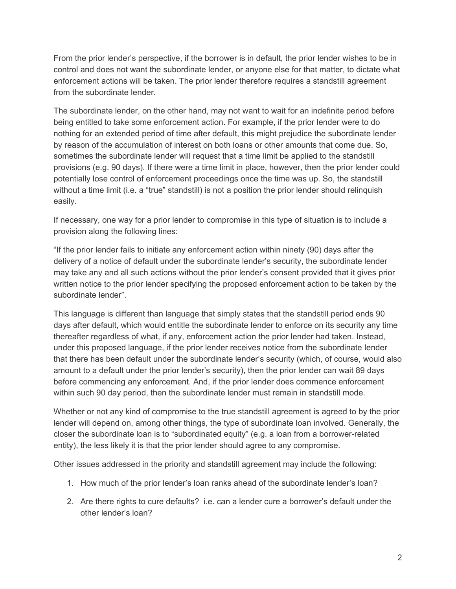From the prior lender's perspective, if the borrower is in default, the prior lender wishes to be in control and does not want the subordinate lender, or anyone else for that matter, to dictate what enforcement actions will be taken. The prior lender therefore requires a standstill agreement from the subordinate lender

The subordinate lender, on the other hand, may not want to wait for an indefinite period before being entitled to take some enforcement action. For example, if the prior lender were to do nothing for an extended period of time after default, this might prejudice the subordinate lender by reason of the accumulation of interest on both loans or other amounts that come due. So, sometimes the subordinate lender will request that a time limit be applied to the standstill provisions (e.g. 90 days). If there were a time limit in place, however, then the prior lender could potentially lose control of enforcement proceedings once the time was up. So, the standstill without a time limit (i.e. a "true" standstill) is not a position the prior lender should relinquish easily.

If necessary, one way for a prior lender to compromise in this type of situation is to include a provision along the following lines:

"If the prior lender fails to initiate any enforcement action within ninety (90) days after the delivery of a notice of default under the subordinate lender's security, the subordinate lender may take any and all such actions without the prior lender's consent provided that it gives prior written notice to the prior lender specifying the proposed enforcement action to be taken by the subordinate lender".

This language is different than language that simply states that the standstill period ends 90 days after default, which would entitle the subordinate lender to enforce on its security any time thereafter regardless of what, if any, enforcement action the prior lender had taken. Instead, under this proposed language, if the prior lender receives notice from the subordinate lender that there has been default under the subordinate lender's security (which, of course, would also amount to a default under the prior lender's security), then the prior lender can wait 89 days before commencing any enforcement. And, if the prior lender does commence enforcement within such 90 day period, then the subordinate lender must remain in standstill mode.

Whether or not any kind of compromise to the true standstill agreement is agreed to by the prior lender will depend on, among other things, the type of subordinate loan involved. Generally, the closer the subordinate loan is to "subordinated equity" (e.g. a loan from a borrower-related entity), the less likely it is that the prior lender should agree to any compromise.

Other issues addressed in the priority and standstill agreement may include the following:

- 1. How much of the prior lender's loan ranks ahead of the subordinate lender's loan?
- 2. Are there rights to cure defaults? i.e. can a lender cure a borrower's default under the other lender's loan?